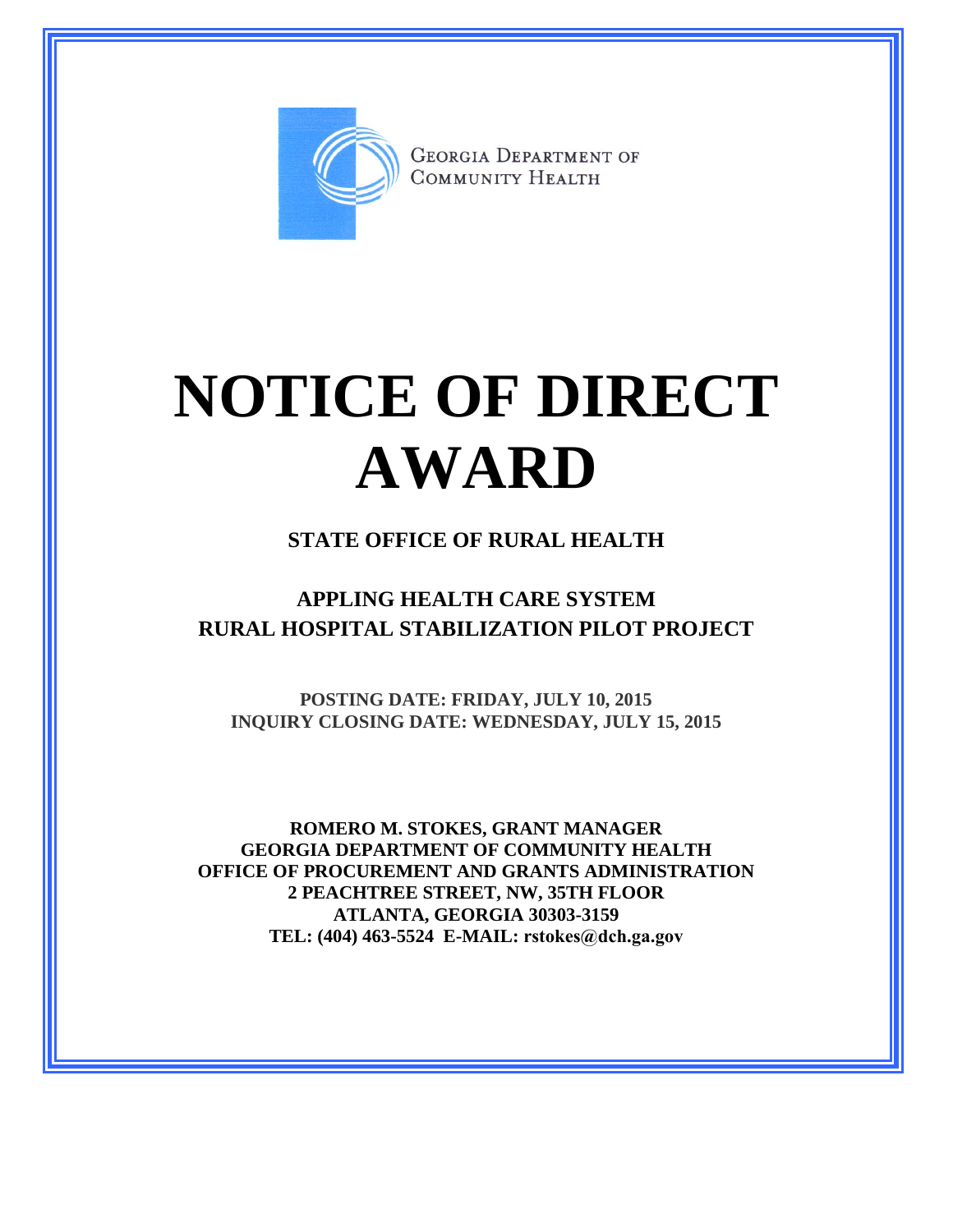

**GEORGIA DEPARTMENT OF** COMMUNITY HEALTH

# **NOTICE OF DIRECT AWARD**

#### **STATE OFFICE OF RURAL HEALTH**

### **APPLING HEALTH CARE SYSTEM RURAL HOSPITAL STABILIZATION PILOT PROJECT**

**POSTING DATE: FRIDAY, JULY 10, 2015 INQUIRY CLOSING DATE: WEDNESDAY, JULY 15, 2015**

**ROMERO M. STOKES, GRANT MANAGER GEORGIA DEPARTMENT OF COMMUNITY HEALTH OFFICE OF PROCUREMENT AND GRANTS ADMINISTRATION 2 PEACHTREE STREET, NW, 35TH FLOOR ATLANTA, GEORGIA 30303-3159 TEL: (404) 463-5524 E-MAIL: rstokes@dch.ga.gov**